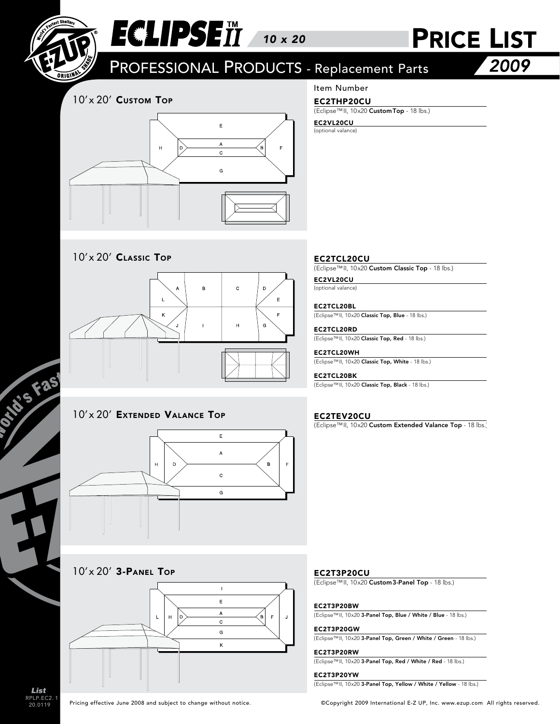

# ECLIPSEII 10 x 20 PRICE LIST

PROFESSIONAL PRODUCTS - Replacement Parts

2009

### 10'x 20' Custom Top



### Item Number

#### EC2THP20CU

(Eclipse™II, 10x20 CustomTop - 18 lbs.)

#### (optional valance) EC2VL20CU

10'x 20' CLASSIC TOP



#### 10'x 20' EXTENDED VALANCE TOP EC2TEV20CU



#### 10'x 20' 3-PANEL TOP



#### EC2TCL20CU

(Eclipse™II, 10x20 Custom Classic Top - 18 lbs.)

#### EC2VL20CU

(optional valance)

#### EC2TCL20BL

(Eclipse™II, 10x20 Classic Top, Blue - 18 lbs.)

#### EC2TCL20RD

(Eclipse™II, 10x20 Classic Top, Red - 18 lbs.)

#### EC2TCL20WH

(Eclipse™II, 10x20 Classic Top, White - 18 lbs.)

#### EC2TCL20BK

(Eclipse™II, 10x20 Classic Top, Black - 18 lbs.)

(Eclipse™II, 10x20 Custom Extended Valance Top - 18 lbs.)

#### EC2T3P20CU

(Eclipse™II, 10x20 Custom3-Panel Top - 18 lbs.)

#### EC2T3P20BW

(Eclipse™II, 10x20 3-Panel Top, Blue / White / Blue - 18 lbs.)

#### EC2T3P20GW

(Eclipse™II, 10x20 3-Panel Top, Green / White / Green - 18 lbs.)

#### EC2T3P20RW

(Eclipse™II, 10x20 3-Panel Top, Red / White / Red - 18 lbs.)

#### EC2T3P20YW

(Eclipse™II, 10x20 3-Panel Top, Yellow / White / Yellow - 18 lbs.)

RPLP.EC2. 20.0119 List

OTIOS FAS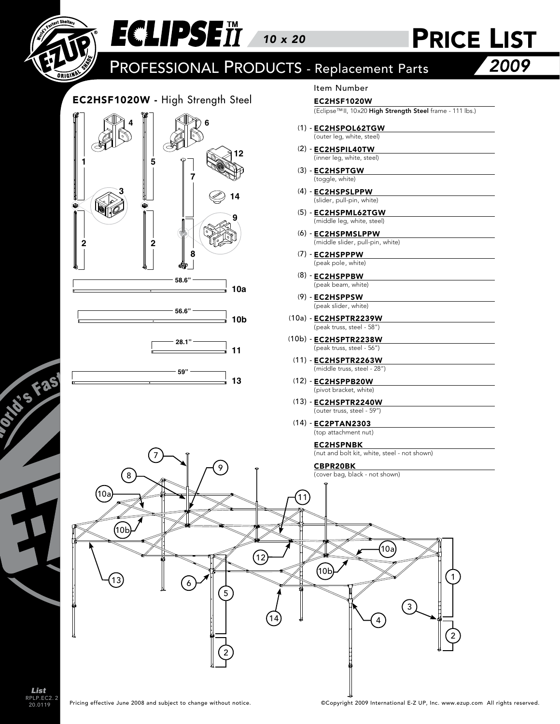

RPLP.EC2. 20.0119 2 List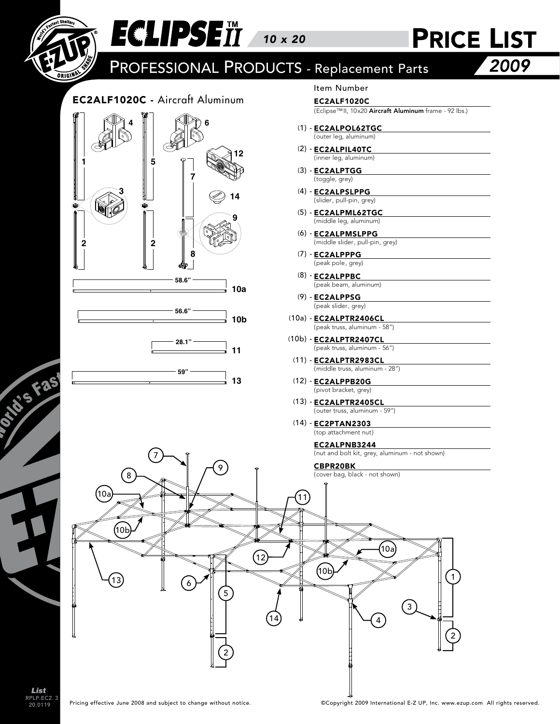

RPLP.EC2. 20.0119 3 List